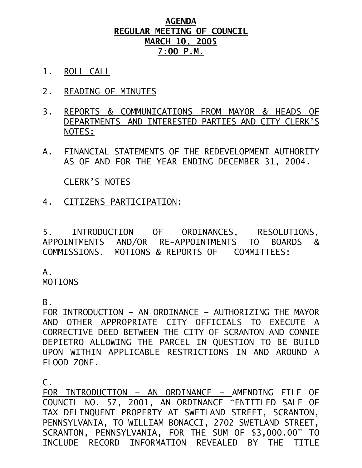## **AGENDA REGULAR MEETING OF COUNCIL MARCH 10, 2005 7:00 P.M.**

- 1. ROLL CALL
- 2. READING OF MINUTES
- 3. REPORTS & COMMUNICATIONS FROM MAYOR & HEADS OF DEPARTMENTS AND INTERESTED PARTIES AND CITY CLERK'S NOTES:
- A. FINANCIAL STATEMENTS OF THE REDEVELOPMENT AUTHORITY AS OF AND FOR THE YEAR ENDING DECEMBER 31, 2004.

CLERK'S NOTES

4. CITIZENS PARTICIPATION:

5. INTRODUCTION OF ORDINANCES, RESOLUTIONS, APPOINTMENTS AND/OR RE-APPOINTMENTS TO BOARDS & COMMISSIONS. MOTIONS & REPORTS OF COMMITTEES:

A.

MOTIONS

B.

FOR INTRODUCTION – AN ORDINANCE – AUTHORIZING THE MAYOR AND OTHER APPROPRIATE CITY OFFICIALS TO EXECUTE A CORRECTIVE DEED BETWEEN THE CITY OF SCRANTON AND CONNIE DEPIETRO ALLOWING THE PARCEL IN QUESTION TO BE BUILD UPON WITHIN APPLICABLE RESTRICTIONS IN AND AROUND A FLOOD ZONE.

C.

FOR INTRODUCTION – AN ORDINANCE – AMENDING FILE OF COUNCIL NO. 57, 2001, AN ORDINANCE "ENTITLED SALE OF TAX DELINQUENT PROPERTY AT SWETLAND STREET, SCRANTON, PENNSYLVANIA, TO WILLIAM BONACCI, 2702 SWETLAND STREET, SCRANTON, PENNSYLVANIA, FOR THE SUM OF \$3,000.00" TO INCLUDE RECORD INFORMATION REVEALED BY THE TITLE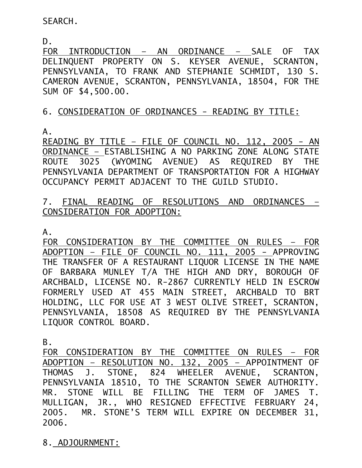SEARCH.

D.

FOR INTRODUCTION – AN ORDINANCE – SALE OF TAX DELINQUENT PROPERTY ON S. KEYSER AVENUE, SCRANTON, PENNSYLVANIA, TO FRANK AND STEPHANIE SCHMIDT, 130 S. CAMERON AVENUE, SCRANTON, PENNSYLVANIA, 18504, FOR THE SUM OF \$4,500.00.

## 6. CONSIDERATION OF ORDINANCES - READING BY TITLE:

A.

READING BY TITLE – FILE OF COUNCIL NO. 112, 2005 - AN ORDINANCE – ESTABLISHING A NO PARKING ZONE ALONG STATE ROUTE 3025 (WYOMING AVENUE) AS REQUIRED BY THE PENNSYLVANIA DEPARTMENT OF TRANSPORTATION FOR A HIGHWAY OCCUPANCY PERMIT ADJACENT TO THE GUILD STUDIO.

## 7. FINAL READING OF RESOLUTIONS AND ORDINANCES – CONSIDERATION FOR ADOPTION:

A.

FOR CONSIDERATION BY THE COMMITTEE ON RULES – FOR ADOPTION – FILE OF COUNCIL NO. 111, 2005 - APPROVING THE TRANSFER OF A RESTAURANT LIQUOR LICENSE IN THE NAME OF BARBARA MUNLEY T/A THE HIGH AND DRY, BOROUGH OF ARCHBALD, LICENSE NO. R-2867 CURRENTLY HELD IN ESCROW FORMERLY USED AT 455 MAIN STREET, ARCHBALD TO BRT HOLDING, LLC FOR USE AT 3 WEST OLIVE STREET, SCRANTON, PENNSYLVANIA, 18508 AS REQUIRED BY THE PENNSYLVANIA LIQUOR CONTROL BOARD.

B.

FOR CONSIDERATION BY THE COMMITTEE ON RULES – FOR ADOPTION – RESOLUTION NO. 132, 2005 – APPOINTMENT OF THOMAS J. STONE, 824 WHEELER AVENUE, SCRANTON, PENNSYLVANIA 18510, TO THE SCRANTON SEWER AUTHORITY. MR. STONE WILL BE FILLING THE TERM OF JAMES T. MULLIGAN, JR., WHO RESIGNED EFFECTIVE FEBRUARY 24, 2005. MR. STONE'S TERM WILL EXPIRE ON DECEMBER 31, 2006.

8. ADJOURNMENT: